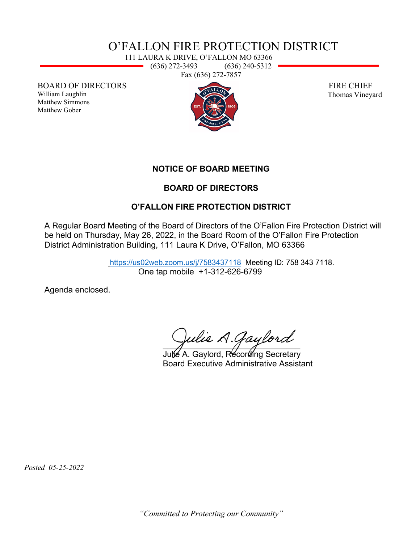## O'FALLON FIRE PROTECTION DISTRICT

111 LAURA K DRIVE, O'FALLON MO 63366 (636) 272-3493 (636) 240-5312 Fax (636) 272-7857

BOARD OF DIRECTORS

William Laughlin Matthew Simmons Matthew Gober



 FIRE CHIEF Thomas Vineyard

**NOTICE OF BOARD MEETING** 

## **BOARD OF DIRECTORS**

## **O'FALLON FIRE PROTECTION DISTRICT**

A Regular Board Meeting of the Board of Directors of the O'Fallon Fire Protection District will be held on Thursday, May 26, 2022, in the Board Room of the O'Fallon Fire Protection District Administration Building, 111 Laura K Drive, O'Fallon, MO 63366

> <https://us02web.zoom.us/j/7583437118>Meeting ID: 758 343 7118. One tap mobile +1-312-626-6799

Agenda enclosed.

Julie A. Gaylord

 Julie A. Gaylord, Recording Secretary Board Executive Administrative Assistant

 *Posted 05-25-2022*